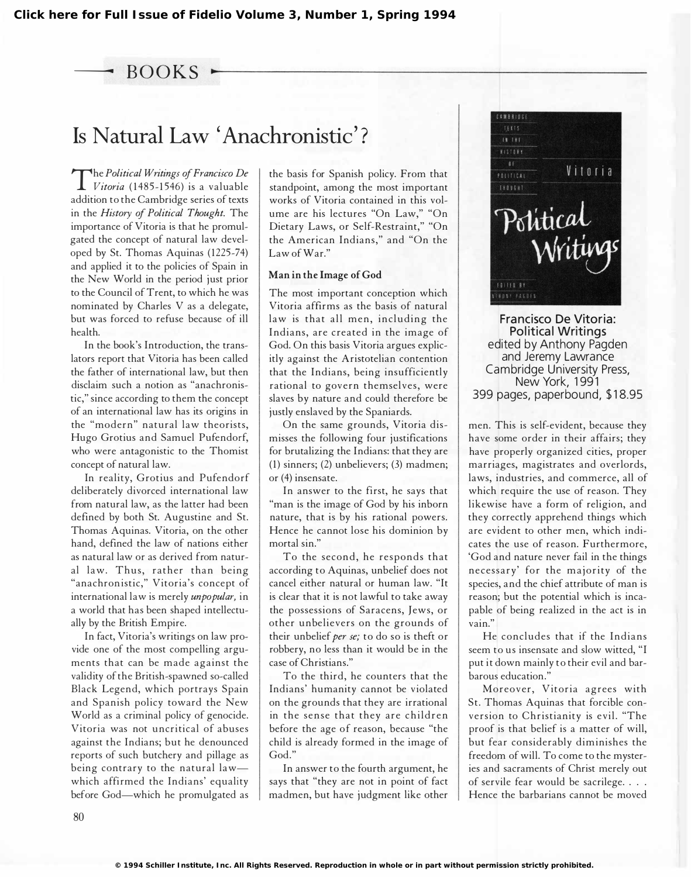The Political Writings of Francisco De<br>Vitoria (1485-1546) is a valuable  $Vitoria$  (1485-1546) is a valuable addition to the Cambridge series of texts in the History of Political Thought. The importance of Vitoria is that he promulgated the concept of natural law developed by St. Thomas Aquinas (1225-74) and applied it to the policies of Spain in the New World in the period just prior to the Council of Trent, to which he was nominated by Charles V as a delegate, but was forced to refuse because of ill health.

In the book's Introduction, the translators report that Vitoria has been called the father of international law, but then disclaim such a notion as "anachronistic," since according to them the concept of an international law has its origins in the "modern" natural law theorists, Hugo Grotius and Samuel Pufendorf, who were antagonistic to the Thomist concept of natural law.

In reality, Grotius and Pufendorf deliberately divorced international law from natural law, as the latter had been defined by both St. Augustine and St. Thomas Aquinas. Vitoria, on the other hand, defined the law of nations either as natural law or as derived from natural law. Thus, rather than being "anachronistic," Vitoria's concept of international law is merely *unpopular*, in a world that has been shaped intellectually by the British Empire.

In fact, Vitoria's writings on law provide one of the most compelling arguments that can be made against the validity of the British-spawned so-called Black Legend, which portrays Spain and Spanish policy toward the New World as a criminal policy of genocide. Vitoria was not uncritical of abuses against the Indians; but he denounced reports of such butchery and pillage as being contrary to the natural lawwhich affirmed the Indians' equality before God—which he promulgated as

the basis for Spanish policy. From that standpoint, among the most important works of Vitoria contained in this volume are his lectures "On Law," "On Dietary Laws, or Self-Restraint," "On the American Indians," and "On the Law of War."

## Man in the Image of God

The most important conception which Vitoria affirms as the basis of natural law is that all men, including the Indians, are created in the image of God. On this basis Vitoria argues explicitly against the Aristotelian contention that the Indians, being insufficiently rational to govern themselves, were slaves by nature and could therefore be justly enslaved by the Spaniards.

On the same grounds, Vitoria dismisses the following four justifications for brutalizing the Indians: that they are (1) sinners; (2) unbelievers; (3) madmen; or (4) insensate.

In answer to the first, he says that "man is the image of God by his inborn nature, that is by his rational powers. Hence he cannot lose his dominion by mortal sin."

To the second, he responds that according to Aquinas, unbelief does not cancel either natural or human law. "It is clear that it is not lawful to take away the possessions of Saracens, Jews, or other unbelievers on the grounds of their unbelief per se; to do so is theft or robbery, no less than it would be in the case of Christians."

To the third, he counters that the Indians' humanity cannot be violated on the grounds that they are irrational in the sense that they are children before the age of reason, because "the child is already formed in the image of God."

In answer to the fourth argument, he says that "they are not in point of fact madmen, but have judgment like other



Francisco De Vitoria: Political Writings edited by Anthony Pagden and Jeremy Lawrance Cambridge University Press, New York, 1991 399 pages, paperbound, \$18.95

men. This is self-evident, because they have some order in their affairs; they have properly organized cities, proper marriages, magistrates and overlords, laws, industries, and commerce, all of which require the use of reason. They likewise have a form of religion, and they correctly apprehend things which are evident to other men, which indicates the use of reason. Furthermore, 'God and nature never fail in the things necessary' for the majority of the species, and the chief attribute of man is reason; but the potential which is incapable of being realized in the act is in vain."

He concludes that if the Indians seem to us insensate and slow witted. "I put it down mainly to their evil and barbarous education."

Moreover, Vitoria agrees with St. Thomas Aquinas that forcible conversion to Christianity is evil. "The proof is that belief is a matter of will, but fear considerably diminishes the freedom of will. To come to the mysteries and sacraments of Christ merely out of servile fear would be sacrilege. . . . Hence the barbarians cannot be moved